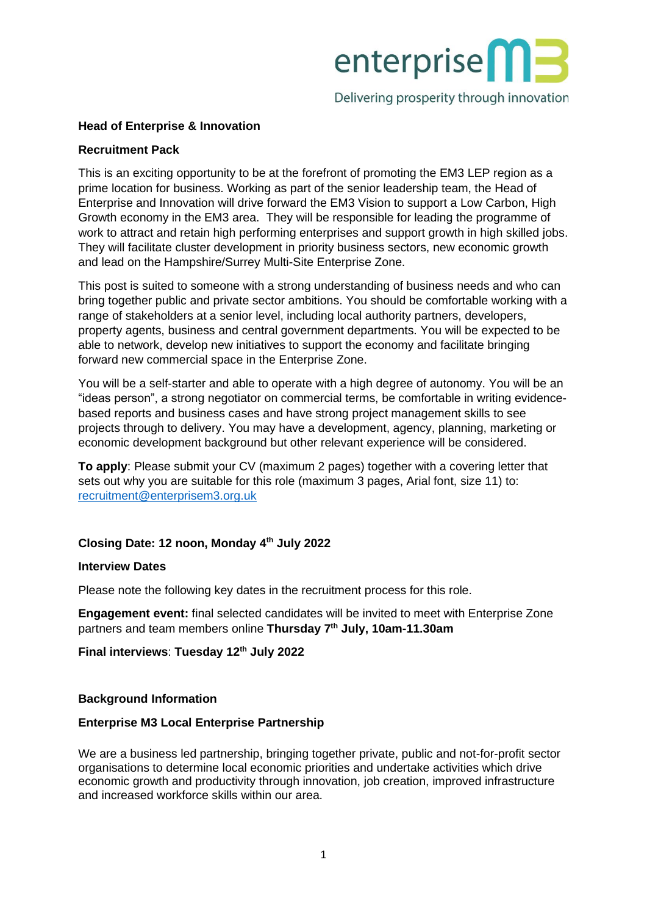

Delivering prosperity through innovation

# **Head of Enterprise & Innovation**

### **Recruitment Pack**

This is an exciting opportunity to be at the forefront of promoting the EM3 LEP region as a prime location for business. Working as part of the senior leadership team, the Head of Enterprise and Innovation will drive forward the EM3 Vision to support a Low Carbon, High Growth economy in the EM3 area. They will be responsible for leading the programme of work to attract and retain high performing enterprises and support growth in high skilled jobs. They will facilitate cluster development in priority business sectors, new economic growth and lead on the Hampshire/Surrey Multi-Site Enterprise Zone.

This post is suited to someone with a strong understanding of business needs and who can bring together public and private sector ambitions. You should be comfortable working with a range of stakeholders at a senior level, including local authority partners, developers, property agents, business and central government departments. You will be expected to be able to network, develop new initiatives to support the economy and facilitate bringing forward new commercial space in the Enterprise Zone.

You will be a self-starter and able to operate with a high degree of autonomy. You will be an "ideas person", a strong negotiator on commercial terms, be comfortable in writing evidencebased reports and business cases and have strong project management skills to see projects through to delivery. You may have a development, agency, planning, marketing or economic development background but other relevant experience will be considered.

**To apply**: Please submit your CV (maximum 2 pages) together with a covering letter that sets out why you are suitable for this role (maximum 3 pages, Arial font, size 11) to: [recruitment@enterprisem3.org.uk](mailto:recruitment@enterprisem3.org.uk)

# **Closing Date: 12 noon, Monday 4th July 2022**

## **Interview Dates**

Please note the following key dates in the recruitment process for this role.

**Engagement event:** final selected candidates will be invited to meet with Enterprise Zone partners and team members online **Thursday 7th July, 10am-11.30am** 

**Final interviews**: **Tuesday 12th July 2022**

#### **Background Information**

#### **Enterprise M3 Local Enterprise Partnership**

We are a business led partnership, bringing together private, public and not-for-profit sector organisations to determine local economic priorities and undertake activities which drive economic growth and productivity through innovation, job creation, improved infrastructure and increased workforce skills within our area.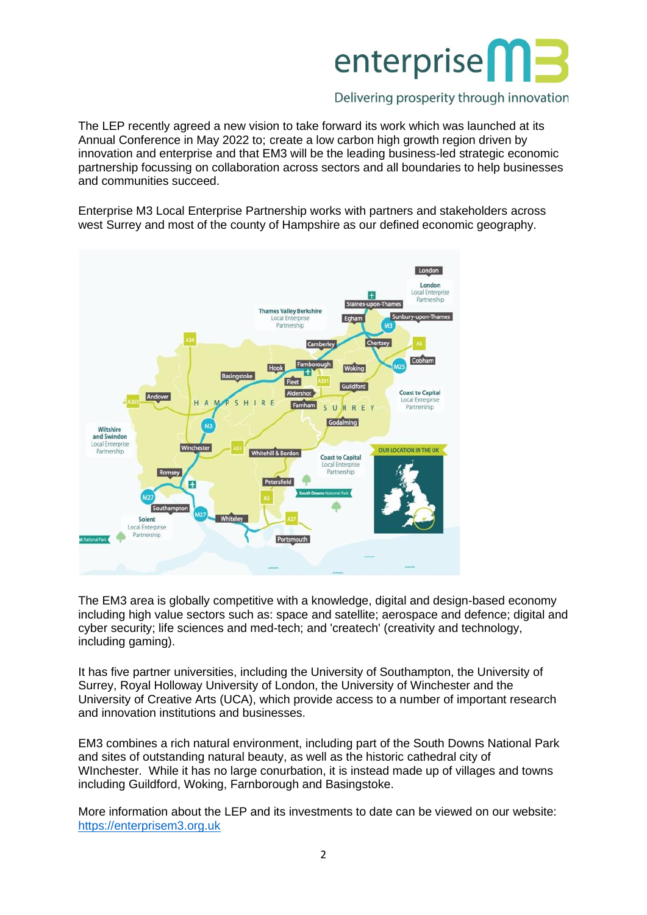

# Delivering prosperity through innovation

The LEP recently agreed a new vision to take forward its work which was launched at its Annual Conference in May 2022 to; create a low carbon high growth region driven by innovation and enterprise and that EM3 will be the leading business-led strategic economic partnership focussing on collaboration across sectors and all boundaries to help businesses and communities succeed.

Enterprise M3 Local Enterprise Partnership works with partners and stakeholders across west Surrey and most of the county of Hampshire as our defined economic geography.



The EM3 area is globally competitive with a knowledge, digital and design-based economy including high value sectors such as: space and satellite; aerospace and defence; digital and cyber security; life sciences and med-tech; and 'createch' (creativity and technology, including gaming).

It has five partner universities, including the University of Southampton, the University of Surrey, Royal Holloway University of London, the University of Winchester and the University of Creative Arts (UCA), which provide access to a number of important research and innovation institutions and businesses.

EM3 combines a rich natural environment, including part of the South Downs National Park and sites of outstanding natural beauty, as well as the historic cathedral city of WInchester. While it has no large conurbation, it is instead made up of villages and towns including Guildford, Woking, Farnborough and Basingstoke.

More information about the LEP and its investments to date can be viewed on our website: [https://enterprisem3.org.uk](https://enterprisem3.org.uk/)